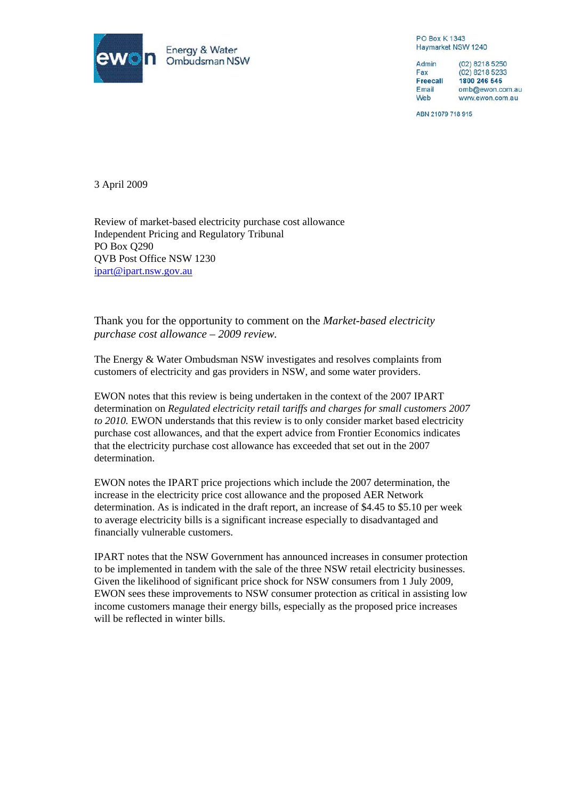

**PO Box K1343** Haymarket NSW 1240

Admin (02) 8218 5250 Fax (02) 8218 5233 **Freecall** 1800 246 545 Email omb@ewon.com.au Web www.ewon.com.au

ABN 21079 718 915

3 April 2009

Review of market-based electricity purchase cost allowance Independent Pricing and Regulatory Tribunal PO Box Q290 QVB Post Office NSW 1230 [ipart@ipart.nsw.gov.au](mailto:ipart@ipart.nsw.gov.au)

Thank you for the opportunity to comment on the *Market-based electricity purchase cost allowance – 2009 review.* 

The Energy & Water Ombudsman NSW investigates and resolves complaints from customers of electricity and gas providers in NSW, and some water providers.

EWON notes that this review is being undertaken in the context of the 2007 IPART determination on *Regulated electricity retail tariffs and charges for small customers 2007 to 2010.* EWON understands that this review is to only consider market based electricity purchase cost allowances, and that the expert advice from Frontier Economics indicates that the electricity purchase cost allowance has exceeded that set out in the 2007 determination.

EWON notes the IPART price projections which include the 2007 determination, the increase in the electricity price cost allowance and the proposed AER Network determination. As is indicated in the draft report, an increase of \$4.45 to \$5.10 per week to average electricity bills is a significant increase especially to disadvantaged and financially vulnerable customers.

IPART notes that the NSW Government has announced increases in consumer protection to be implemented in tandem with the sale of the three NSW retail electricity businesses. Given the likelihood of significant price shock for NSW consumers from 1 July 2009, EWON sees these improvements to NSW consumer protection as critical in assisting low income customers manage their energy bills, especially as the proposed price increases will be reflected in winter bills.